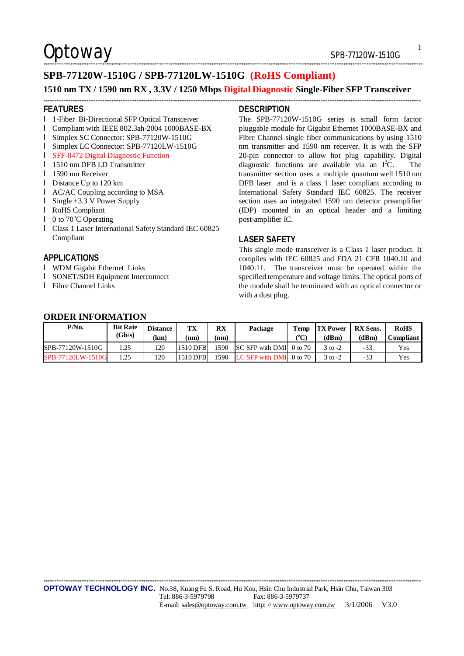$Optionway$   $SPB-77120W-1510G$ 

#### \*\*\*\*\*\*\*\*\*\*\*\*\*\*\*\*\*\*\*\*\*\*\*\*\*\*\*\*\*\*\*\*\*\*\*\*\*\*\*\*\*\*\*\*\*\*\*\*\*\*\*\*\*\*\*\*\*\*\*\*\*\*\*\*\*\*\*\*\*\*\*\*\*\*\*\*\*\*\*\*\*\*\*\*\*\*\*\*\*\*\*\*\*\*\*\*\*\*\*\*\*\*\*\*\*\*\*\*\*\*\*\*\*\*\*\*\*\*\*\*\*\*\*\*\*\*\*\*\*\*\*\*\*\*\*\*\*\*\*\*\*\*\*\*\*\*\*\*\*\*\*\*\*\*\*\*\*\*\*\*\*\*\*\*\*\*\*

1

### **SPB-77120W-1510G / SPB-77120LW-1510G (RoHS Compliant)**

#### **1510 nm TX / 1590 nm RX , 3.3V / 1250 Mbps Digital Diagnostic Single-Fiber SFP Transceiver**  \*\*\*\*\*\*\*\*\*\*\*\*\*\*\*\*\*\*\*\*\*\*\*\*\*\*\*\*\*\*\*\*\*\*\*\*\*\*\*\*\*\*\*\*\*\*\*\*\*\*\*\*\*\*\*\*\*\*\*\*\*\*\*\*\*\*\*\*\*\*\*\*\*\*\*\*\*\*\*\*\*\*\*\*\*\*\*\*\*\*\*\*\*\*\*\*\*\*\*\*\*\*\*\*\*\*\*\*\*\*\*\*\*\*\*\*\*\*\*\*\*\*\*\*\*\*\*\*\*\*\*\*\*\*\*\*\*\*\*\*\*\*\*\*\*\*\*\*\*\*\*\*\*\*\*\*\*\*\*\*\*\*\*\*\*\*

#### **FEATURES**

- l 1-Fiber Bi-Directional SFP Optical Transceiver
- l Compliant with IEEE 802.3ah-2004 1000BASE-BX
- l Simplex SC Connector: SPB-77120W-1510G
- l Simplex LC Connector: SPB-77120LW-1510G
- l SFF-8472 Digital Diagnostic Function
- l 1510 nm DFB LD Transmitter
- **l** 1590 nm Receiver
- **l** Distance Up to 120 km
- l AC/AC Coupling according to MSA
- l Single +3.3 V Power Supply
- l RoHS Compliant
- $\blacksquare$  0 to 70 $\mathrm{^{\circ}C}$  Operating
- l Class 1 Laser International Safety Standard IEC 60825 Compliant

#### **APPLICATIONS**

- l WDM Gigabit Ethernet Links
- l SONET/SDH Equipment Interconnect
- l Fibre Channel Links

#### **DESCRIPTION**

The SPB-77120W-1510G series is small form factor pluggable module for Gigabit Ethernet 1000BASE-BX and Fibre Channel single fiber communications by using 1510 nm transmitter and 1590 nm receiver. It is with the SFP 20-pin connector to allow hot plug capability. Digital diagnostic functions are available via an  $I<sup>2</sup>C$ . The transmitter section uses a multiple quantum well 1510 nm DFB laser and is a class 1 laser compliant according to International Safety Standard IEC 60825. The receiver section uses an integrated 1590 nm detector preamplifier (IDP) mounted in an optical header and a limiting post-amplifier IC.

#### **LASER SAFETY**

This single mode transceiver is a Class 1 laser product. It complies with IEC 60825 and FDA 21 CFR 1040.10 and 1040.11. The transceiver must be operated within the specified temperature and voltage limits. The optical ports of the module shall be terminated with an optical connector or with a dust plug.

### **ORDER INFORMATION**

| P/N <sub>0</sub>  | <b>Bit Rate</b><br>(Gb/s) | <b>Distance</b><br>(km) | TX<br>(nm) | RX<br>(nm) | Package                 | Temp<br>${}^o$ C) | <b>TX Power</b><br>(dBm) | <b>RX</b> Sens.<br>(dBm) | <b>RoHS</b><br><b>Compliant</b> . |
|-------------------|---------------------------|-------------------------|------------|------------|-------------------------|-------------------|--------------------------|--------------------------|-----------------------------------|
| SPB-77120W-1510G  | 1.25                      | 120                     | 1510 DFB   | 1590       | SC SFP with DMI 0 to 70 |                   | 3 to -2                  | -33                      | Yes                               |
| SPB-77120LW-1510G | 1.25                      | 120                     | 1510 DFB   | 1590       | LC SFP with DMI         | 0 to 70           | 3 to -2                  | -33                      | Yes                               |

\*\*\*\*\*\*\*\*\*\*\*\*\*\*\*\*\*\*\*\*\*\*\*\*\*\*\*\*\*\*\*\*\*\*\*\*\*\*\*\*\*\*\*\*\*\*\*\*\*\*\*\*\*\*\*\*\*\*\*\*\*\*\*\*\*\*\*\*\*\*\*\*\*\*\*\*\*\*\*\*\*\*\*\*\*\*\*\*\*\*\*\*\*\*\*\*\*\*\*\*\*\*\*\*\*\*\*\*\*\*\*\*\*\*\*\*\*\*\*\*\*\*\*\*\*\*\*\*\*\*\*\*\*\*\*\*\*\*\*\*\*\*\*\*\*\*\*\*\*\*\*\*\*\*\*\*\*\*\*\*\*\*\*\*\*\*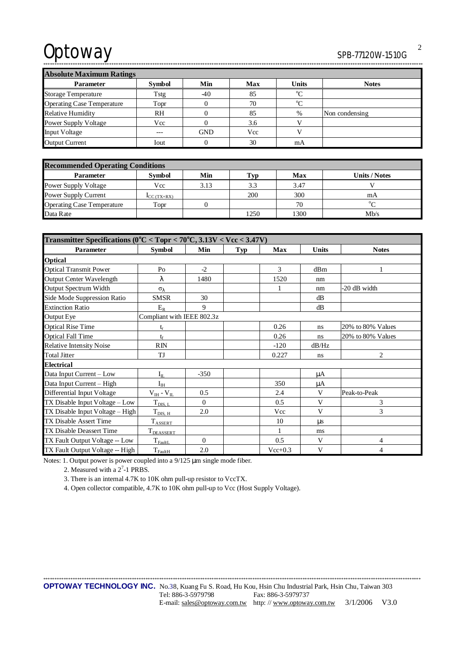# Optoway

# SPB-77120W-1510G

 $\overline{2}$ 

٦

 $\frac{1}{2}$ 

| <b>AUSULULE MAAHHUHI KAUHES</b>   |               |            |            |              |                |  |  |
|-----------------------------------|---------------|------------|------------|--------------|----------------|--|--|
| <b>Parameter</b>                  | <b>Symbol</b> | Min        | <b>Max</b> | <b>Units</b> | <b>Notes</b>   |  |  |
| <b>Storage Temperature</b>        | Tstg          | -40        | 85         | $^{\circ}C$  |                |  |  |
| <b>Operating Case Temperature</b> | Topr          |            | 70         | $^{\circ}C$  |                |  |  |
| <b>Relative Humidity</b>          | <b>RH</b>     |            | 85         | $\%$         | Non condensing |  |  |
| <b>Power Supply Voltage</b>       | Vcc           |            | 3.6        |              |                |  |  |
| <b>Input Voltage</b>              | $---$         | <b>GND</b> | Vcc        |              |                |  |  |
| <b>Output Current</b>             | Iout          |            | 30         | mA           |                |  |  |

| <b>Recommended Operating Conditions</b> |               |      |      |      |               |  |
|-----------------------------------------|---------------|------|------|------|---------------|--|
| <b>Parameter</b>                        | <b>Symbol</b> | Min  | Tvn  | Max  | Units / Notes |  |
| Power Supply Voltage                    | Vcc           | 3.13 | 3.3  | 3.47 |               |  |
| Power Supply Current                    | $LC(TX+RX)$   |      | 200  | 300  | mA            |  |
| <b>Operating Case Temperature</b>       | Topr          |      |      | 70   | $\Omega$      |  |
| Data Rate                               |               |      | 1250 | 1300 | Mb/s          |  |

| Transmitter Specifications ( $0^{\circ}$ C < Topr < 70 $^{\circ}$ C, 3.13V < Vcc < 3.47V) |                            |          |     |           |              |                   |  |  |
|-------------------------------------------------------------------------------------------|----------------------------|----------|-----|-----------|--------------|-------------------|--|--|
| Parameter                                                                                 | <b>Symbol</b>              | Min      | Typ | Max       | <b>Units</b> | <b>Notes</b>      |  |  |
| Optical                                                                                   |                            |          |     |           |              |                   |  |  |
| <b>Optical Transmit Power</b>                                                             | P <sub>O</sub>             | $-2$     |     | 3         | dBm          |                   |  |  |
| <b>Output Center Wavelength</b>                                                           | λ                          | 1480     |     | 1520      | nm           |                   |  |  |
| Output Spectrum Width                                                                     | $\sigma_{\lambda}$         |          |     | 1         | nm           | -20 dB width      |  |  |
| Side Mode Suppression Ratio                                                               | <b>SMSR</b>                | 30       |     |           | dB           |                   |  |  |
| <b>Extinction Ratio</b>                                                                   | $E_R$                      | 9        |     |           | dB           |                   |  |  |
| Output Eye                                                                                | Compliant with IEEE 802.3z |          |     |           |              |                   |  |  |
| <b>Optical Rise Time</b>                                                                  | t,                         |          |     | 0.26      | ns           | 20% to 80% Values |  |  |
| <b>Optical Fall Time</b>                                                                  | $t_{\rm f}$                |          |     | 0.26      | ns           | 20% to 80% Values |  |  |
| <b>Relative Intensity Noise</b>                                                           | RIN                        |          |     | $-120$    | dB/Hz        |                   |  |  |
| <b>Total Jitter</b>                                                                       | TJ                         |          |     | 0.227     | ns           | $\overline{2}$    |  |  |
| <b>Electrical</b>                                                                         |                            |          |     |           |              |                   |  |  |
| Data Input Current - Low                                                                  | $I_{\rm IL}$               | $-350$   |     |           | μA           |                   |  |  |
| Data Input Current - High                                                                 | $I_{IH}$                   |          |     | 350       | μA           |                   |  |  |
| Differential Input Voltage                                                                | $V_{IH}$ - $V_{IL}$        | 0.5      |     | 2.4       | V            | Peak-to-Peak      |  |  |
| TX Disable Input Voltage - Low                                                            | $T_{\text{DIS, L}}$        | $\Omega$ |     | 0.5       | V            | 3                 |  |  |
| TX Disable Input Voltage - High                                                           | $T_{\text{DIS, H}}$        | 2.0      |     | Vcc       | V            | 3                 |  |  |
| <b>TX Disable Assert Time</b>                                                             | <b>TASSERT</b>             |          |     | 10        | $\mu s$      |                   |  |  |
| TX Disable Deassert Time                                                                  | T <sub>DEASSERT</sub>      |          |     | 1         | ms           |                   |  |  |
| TX Fault Output Voltage -- Low                                                            | $T_{\text{FaultL}}$        | $\Omega$ |     | 0.5       | V            | 4                 |  |  |
| TX Fault Output Voltage -- High                                                           | $T_{\text{FaultH}}$        | 2.0      |     | $Vec+0.3$ | V            | 4                 |  |  |

Notes: 1. Output power is power coupled into a  $9/125$  µm single mode fiber.

2. Measured with a  $2<sup>7</sup>$ -1 PRBS.

3. There is an internal 4.7K to 10K ohm pull-up resistor to VccTX.

4. Open collector compatible, 4.7K to 10K ohm pull-up to Vcc (Host Supply Voltage).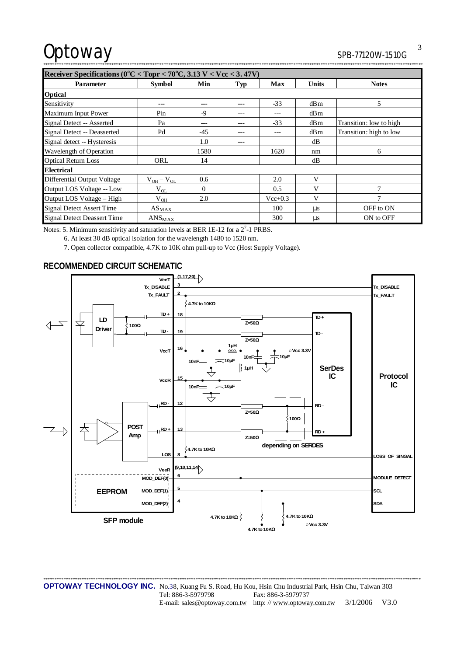# Optoway SPB-77120W-1510G

| 5PB-77120W-1910G |
|------------------|
|                  |

| Receiver Specifications ( $0^{\circ}$ C < Topr < 70 $^{\circ}$ C, 3.13 V < Vcc < 3.47V) |                               |          |            |             |              |                         |  |
|-----------------------------------------------------------------------------------------|-------------------------------|----------|------------|-------------|--------------|-------------------------|--|
| <b>Parameter</b>                                                                        | <b>Symbol</b>                 | Min      | <b>Typ</b> | <b>Max</b>  | <b>Units</b> | <b>Notes</b>            |  |
| <b>Optical</b>                                                                          |                               |          |            |             |              |                         |  |
| Sensitivity                                                                             |                               |          | ---        | $-33$       | dBm          | 5                       |  |
| Maximum Input Power                                                                     | Pin                           | -9       | ---        | ---         | dBm          |                         |  |
| Signal Detect -- Asserted                                                               | Pa                            |          | ---        | $-33$       | dBm          | Transition: low to high |  |
| Signal Detect -- Deasserted                                                             | Pd                            | $-45$    |            | ---         | dBm          | Transition: high to low |  |
| Signal detect -- Hysteresis                                                             |                               | 1.0      | ---        |             | dB           |                         |  |
| Wavelength of Operation                                                                 |                               | 1580     |            | 1620        | nm           | 6                       |  |
| <b>Optical Return Loss</b>                                                              | ORL                           | 14       |            |             | dB           |                         |  |
| Electrical                                                                              |                               |          |            |             |              |                         |  |
| <b>Differential Output Voltage</b>                                                      | $V_{OH} - V_{OL}$             | 0.6      |            | 2.0         | V            |                         |  |
| Output LOS Voltage -- Low                                                               | $V_{OL}$                      | $\Omega$ |            | 0.5         | V            | $\overline{7}$          |  |
| Output LOS Voltage - High                                                               | $V_{OH}$                      | 2.0      |            | $Vec{+}0.3$ | V            | 7                       |  |
| <b>Signal Detect Assert Time</b>                                                        | $AS_{MAX}$                    |          |            | 100         | us           | OFF to ON               |  |
| <b>Signal Detect Deassert Time</b>                                                      | $\mathrm{ANS}_{\mathrm{MAX}}$ |          |            | 300         | μs           | ON to OFF               |  |

Notes: 5. Minimum sensitivity and saturation levels at BER 1E-12 for a  $2^7$ -1 PRBS.

6. At least 30 dB optical isolation for the wavelength 1480 to 1520 nm.

7. Open collector compatible, 4.7K to 10K ohm pull-up to Vcc (Host Supply Voltage).

# **RECOMMENDED CIRCUIT SCHEMATIC**



\*\*\*\*\*\*\*\*\*\*\*\*\*\*\*\*\*\*\*\*\*\*\*\*\*\*\*\*\*\*\*\*\*\*\*\*\*\*\*\*\*\*\*\*\*\*\*\*\*\*\*\*\*\*\*\*\*\*\*\*\*\*\*\*\*\*\*\*\*\*\*\*\*\*\*\*\*\*\*\*\*\*\*\*\*\*\*\*\*\*\*\*\*\*\*\*\*\*\*\*\*\*\*\*\*\*\*\*\*\*\*\*\*\*\*\*\*\*\*\*\*\*\*\*\*\*\*\*\*\*\*\*\*\*\*\*\*\*\*\*\*\*\*\*\*\*\*\*\*\*\*\*\*\*\*\*\*\*\*\*\*\*\*\*\*\* **OPTOWAY TECHNOLOGY INC.** No.38, Kuang Fu S. Road, Hu Kou, Hsin Chu Industrial Park, Hsin Chu, Taiwan 303 Tel: 886-3-5979798 Fax: 886-3-5979737 E-mail: [sales@optoway.com.tw](mailto:sales@optoway.com.tw) http: // [www.optoway.com.tw](http://www.optoway.com.tw) 3/1/2006 V3.0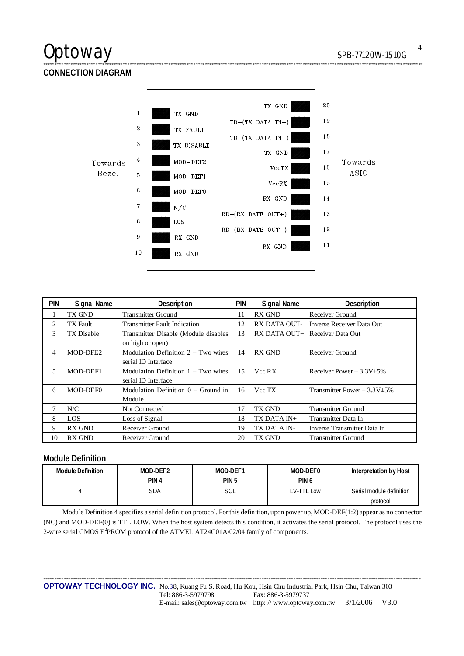# Optoway SPB-77120W-1510G

**CONNECTION DIAGRAM** 



\*\*\*\*\*\*\*\*\*\*\*\*\*\*\*\*\*\*\*\*\*\*\*\*\*\*\*\*\*\*\*\*\*\*\*\*\*\*\*\*\*\*\*\*\*\*\*\*\*\*\*\*\*\*\*\*\*\*\*\*\*\*\*\*\*\*\*\*\*\*\*\*\*\*\*\*\*\*\*\*\*\*\*\*\*\*\*\*\*\*\*\*\*\*\*\*\*\*\*\*\*\*\*\*\*\*\*\*\*\*\*\*\*\*\*\*\*\*\*\*\*\*\*\*\*\*\*\*\*\*\*\*\*\*\*\*\*\*\*\*\*\*\*\*\*\*\*\*\*\*\*\*\*\*\*\*\*\*\*\*\*\*\*\*\*\*\*

| <b>PIN</b> | <b>Signal Name</b> | Description                           | pin | <b>Signal Name</b>  | Description                       |
|------------|--------------------|---------------------------------------|-----|---------------------|-----------------------------------|
|            | TX GND             | <b>Transmitter Ground</b>             | 11  | <b>RX GND</b>       | Receiver Ground                   |
| 2          | <b>TX</b> Fault    | <b>Transmitter Fault Indication</b>   | 12  | <b>RX DATA OUT-</b> | Inverse Receiver Data Out         |
| 3          | <b>TX Disable</b>  | Transmitter Disable (Module disables  | 13  | RX DATA OUT+        | Receiver Data Out                 |
|            |                    | on high or open)                      |     |                     |                                   |
| 4          | MOD-DFE2           | Modulation Definition $2 - Two wires$ | 14  | <b>RX GND</b>       | Receiver Ground                   |
|            |                    | serial ID Interface                   |     |                     |                                   |
| 5          | MOD-DEF1           | Modulation Definition 1 – Two wires   | 15  | Vcc RX              | Receiver Power $-3.3V \pm 5\%$    |
|            |                    | serial ID Interface                   |     |                     |                                   |
| 6          | MOD-DEF0           | Modulation Definition $0 -$ Ground in | 16  | Vcc TX              | Transmitter Power $-3.3V \pm 5\%$ |
|            |                    | Module                                |     |                     |                                   |
|            | N/C                | <b>Not Connected</b>                  | 17  | TX GND              | <b>Transmitter Ground</b>         |
| 8          | LOS                | Loss of Signal                        | 18  | TX DATA IN+         | Transmitter Data In               |
| 9          | <b>RX GND</b>      | Receiver Ground                       | 19  | TX DATA IN-         | Inverse Transmitter Data In       |
| 10         | <b>RX GND</b>      | Receiver Ground                       | 20  | TX GND              | <b>Transmitter Ground</b>         |

### **Module Definition**

| <b>Module Definition</b> | MOD-DEF2<br>PIN <sub>4</sub> | MOD-DEF1<br>PIN <sub>5</sub> | MOD-DEF0<br>PIN <sub>6</sub> | Interpretation by Host   |
|--------------------------|------------------------------|------------------------------|------------------------------|--------------------------|
|                          |                              |                              |                              |                          |
|                          | SDA                          | SCL                          | LV-TTL Low                   | Serial module definition |
|                          |                              |                              |                              | protocol                 |

Module Definition 4 specifies a serial definition protocol. For this definition, upon power up, MOD-DEF(1:2) appear as no connector (NC) and MOD-DEF(0) is TTL LOW. When the host system detects this condition, it activates the serial protocol. The protocol uses the 2-wire serial CMOS  $E^2$ PROM protocol of the ATMEL AT24C01A/02/04 family of components.

\*\*\*\*\*\*\*\*\*\*\*\*\*\*\*\*\*\*\*\*\*\*\*\*\*\*\*\*\*\*\*\*\*\*\*\*\*\*\*\*\*\*\*\*\*\*\*\*\*\*\*\*\*\*\*\*\*\*\*\*\*\*\*\*\*\*\*\*\*\*\*\*\*\*\*\*\*\*\*\*\*\*\*\*\*\*\*\*\*\*\*\*\*\*\*\*\*\*\*\*\*\*\*\*\*\*\*\*\*\*\*\*\*\*\*\*\*\*\*\*\*\*\*\*\*\*\*\*\*\*\*\*\*\*\*\*\*\*\*\*\*\*\*\*\*\*\*\*\*\*\*\*\*\*\*\*\*\*\*\*\*\*\*\*\*\* **OPTOWAY TECHNOLOGY INC.** No.38, Kuang Fu S. Road, Hu Kou, Hsin Chu Industrial Park, Hsin Chu, Taiwan 303 Tel: 886-3-5979798 Fax: 886-3-5979737 E-mail: [sales@optoway.com.tw](mailto:sales@optoway.com.tw) http: // [www.optoway.com.tw](http://www.optoway.com.tw) 3/1/2006 V3.0

4